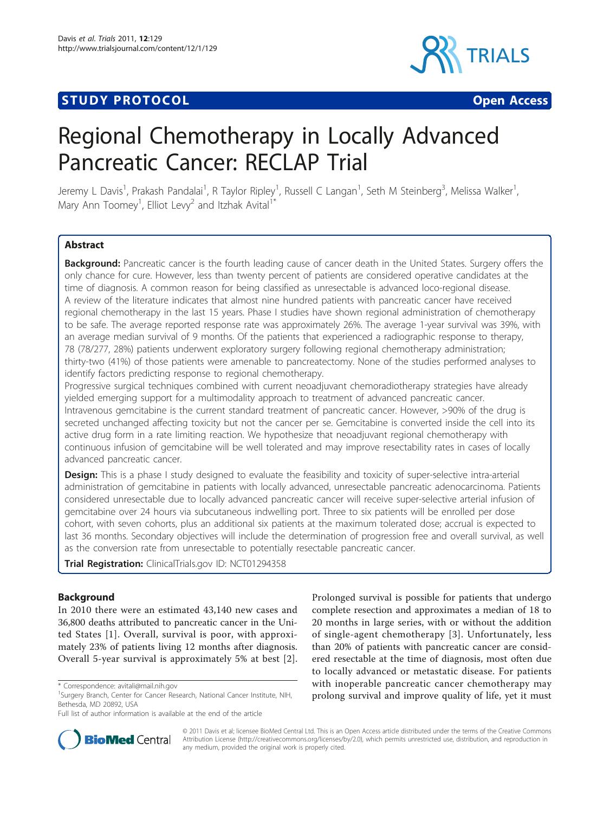## **STUDY PROTOCOL CONSUMING ACCESS**



# Regional Chemotherapy in Locally Advanced Pancreatic Cancer: RECLAP Trial

Jeremy L Davis<sup>1</sup>, Prakash Pandalai<sup>1</sup>, R Taylor Ripley<sup>1</sup>, Russell C Langan<sup>1</sup>, Seth M Steinberg<sup>3</sup>, Melissa Walker<sup>1</sup> , Mary Ann Toomey<sup>1</sup>, Elliot Levy<sup>2</sup> and Itzhak Avital<sup>1\*</sup>

## Abstract

Background: Pancreatic cancer is the fourth leading cause of cancer death in the United States. Surgery offers the only chance for cure. However, less than twenty percent of patients are considered operative candidates at the time of diagnosis. A common reason for being classified as unresectable is advanced loco-regional disease. A review of the literature indicates that almost nine hundred patients with pancreatic cancer have received regional chemotherapy in the last 15 years. Phase I studies have shown regional administration of chemotherapy to be safe. The average reported response rate was approximately 26%. The average 1-year survival was 39%, with an average median survival of 9 months. Of the patients that experienced a radiographic response to therapy, 78 (78/277, 28%) patients underwent exploratory surgery following regional chemotherapy administration; thirty-two (41%) of those patients were amenable to pancreatectomy. None of the studies performed analyses to identify factors predicting response to regional chemotherapy.

Progressive surgical techniques combined with current neoadjuvant chemoradiotherapy strategies have already yielded emerging support for a multimodality approach to treatment of advanced pancreatic cancer. Intravenous gemcitabine is the current standard treatment of pancreatic cancer. However, >90% of the drug is secreted unchanged affecting toxicity but not the cancer per se. Gemcitabine is converted inside the cell into its active drug form in a rate limiting reaction. We hypothesize that neoadjuvant regional chemotherapy with continuous infusion of gemcitabine will be well tolerated and may improve resectability rates in cases of locally advanced pancreatic cancer.

**Design:** This is a phase I study designed to evaluate the feasibility and toxicity of super-selective intra-arterial administration of gemcitabine in patients with locally advanced, unresectable pancreatic adenocarcinoma. Patients considered unresectable due to locally advanced pancreatic cancer will receive super-selective arterial infusion of gemcitabine over 24 hours via subcutaneous indwelling port. Three to six patients will be enrolled per dose cohort, with seven cohorts, plus an additional six patients at the maximum tolerated dose; accrual is expected to last 36 months. Secondary objectives will include the determination of progression free and overall survival, as well as the conversion rate from unresectable to potentially resectable pancreatic cancer.

Trial Registration: ClinicalTrials.gov ID: [NCT01294358](http://www.clinicaltrials.gov/ct2/show/NCT01294358)

## Background

In 2010 there were an estimated 43,140 new cases and 36,800 deaths attributed to pancreatic cancer in the United States [[1](#page-6-0)]. Overall, survival is poor, with approximately 23% of patients living 12 months after diagnosis. Overall 5-year survival is approximately 5% at best [[2](#page-6-0)].

Full list of author information is available at the end of the article



© 2011 Davis et al; licensee BioMed Central Ltd. This is an Open Access article distributed under the terms of the Creative Commons **BioMed** Central Attribution License [\(http://creativecommons.org/licenses/by/2.0](http://creativecommons.org/licenses/by/2.0)), which permits unrestricted use, distribution, and reproduction in any medium, provided the original work is properly cited.

<sup>\*</sup> Correspondence: [avitali@mail.nih.gov](mailto:avitali@mail.nih.gov)

<sup>&</sup>lt;sup>1</sup>Surgery Branch, Center for Cancer Research, National Cancer Institute, NIH, Bethesda, MD 20892, USA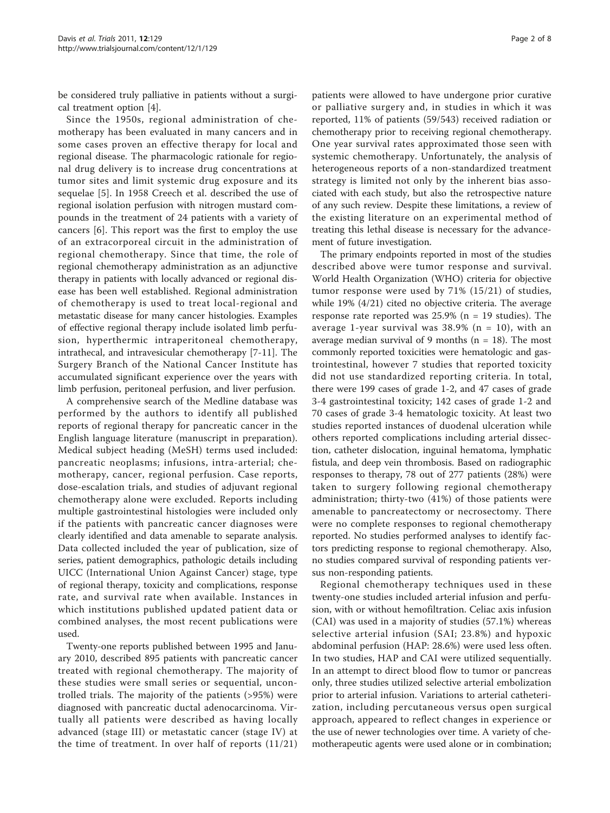be considered truly palliative in patients without a surgical treatment option [\[4\]](#page-6-0).

Since the 1950s, regional administration of chemotherapy has been evaluated in many cancers and in some cases proven an effective therapy for local and regional disease. The pharmacologic rationale for regional drug delivery is to increase drug concentrations at tumor sites and limit systemic drug exposure and its sequelae [[5\]](#page-6-0). In 1958 Creech et al. described the use of regional isolation perfusion with nitrogen mustard compounds in the treatment of 24 patients with a variety of cancers [\[6](#page-6-0)]. This report was the first to employ the use of an extracorporeal circuit in the administration of regional chemotherapy. Since that time, the role of regional chemotherapy administration as an adjunctive therapy in patients with locally advanced or regional disease has been well established. Regional administration of chemotherapy is used to treat local-regional and metastatic disease for many cancer histologies. Examples of effective regional therapy include isolated limb perfusion, hyperthermic intraperitoneal chemotherapy, intrathecal, and intravesicular chemotherapy [\[7](#page-6-0)-[11\]](#page-7-0). The Surgery Branch of the National Cancer Institute has accumulated significant experience over the years with limb perfusion, peritoneal perfusion, and liver perfusion.

A comprehensive search of the Medline database was performed by the authors to identify all published reports of regional therapy for pancreatic cancer in the English language literature (manuscript in preparation). Medical subject heading (MeSH) terms used included: pancreatic neoplasms; infusions, intra-arterial; chemotherapy, cancer, regional perfusion. Case reports, dose-escalation trials, and studies of adjuvant regional chemotherapy alone were excluded. Reports including multiple gastrointestinal histologies were included only if the patients with pancreatic cancer diagnoses were clearly identified and data amenable to separate analysis. Data collected included the year of publication, size of series, patient demographics, pathologic details including UICC (International Union Against Cancer) stage, type of regional therapy, toxicity and complications, response rate, and survival rate when available. Instances in which institutions published updated patient data or combined analyses, the most recent publications were used.

Twenty-one reports published between 1995 and January 2010, described 895 patients with pancreatic cancer treated with regional chemotherapy. The majority of these studies were small series or sequential, uncontrolled trials. The majority of the patients (>95%) were diagnosed with pancreatic ductal adenocarcinoma. Virtually all patients were described as having locally advanced (stage III) or metastatic cancer (stage IV) at the time of treatment. In over half of reports (11/21)

patients were allowed to have undergone prior curative or palliative surgery and, in studies in which it was reported, 11% of patients (59/543) received radiation or chemotherapy prior to receiving regional chemotherapy. One year survival rates approximated those seen with systemic chemotherapy. Unfortunately, the analysis of heterogeneous reports of a non-standardized treatment strategy is limited not only by the inherent bias associated with each study, but also the retrospective nature of any such review. Despite these limitations, a review of the existing literature on an experimental method of treating this lethal disease is necessary for the advancement of future investigation.

The primary endpoints reported in most of the studies described above were tumor response and survival. World Health Organization (WHO) criteria for objective tumor response were used by 71% (15/21) of studies, while 19% (4/21) cited no objective criteria. The average response rate reported was  $25.9\%$  (n = 19 studies). The average 1-year survival was  $38.9\%$  (n = 10), with an average median survival of 9 months ( $n = 18$ ). The most commonly reported toxicities were hematologic and gastrointestinal, however 7 studies that reported toxicity did not use standardized reporting criteria. In total, there were 199 cases of grade 1-2, and 47 cases of grade 3-4 gastrointestinal toxicity; 142 cases of grade 1-2 and 70 cases of grade 3-4 hematologic toxicity. At least two studies reported instances of duodenal ulceration while others reported complications including arterial dissection, catheter dislocation, inguinal hematoma, lymphatic fistula, and deep vein thrombosis. Based on radiographic responses to therapy, 78 out of 277 patients (28%) were taken to surgery following regional chemotherapy administration; thirty-two (41%) of those patients were amenable to pancreatectomy or necrosectomy. There were no complete responses to regional chemotherapy reported. No studies performed analyses to identify factors predicting response to regional chemotherapy. Also, no studies compared survival of responding patients versus non-responding patients.

Regional chemotherapy techniques used in these twenty-one studies included arterial infusion and perfusion, with or without hemofiltration. Celiac axis infusion (CAI) was used in a majority of studies (57.1%) whereas selective arterial infusion (SAI; 23.8%) and hypoxic abdominal perfusion (HAP: 28.6%) were used less often. In two studies, HAP and CAI were utilized sequentially. In an attempt to direct blood flow to tumor or pancreas only, three studies utilized selective arterial embolization prior to arterial infusion. Variations to arterial catheterization, including percutaneous versus open surgical approach, appeared to reflect changes in experience or the use of newer technologies over time. A variety of chemotherapeutic agents were used alone or in combination;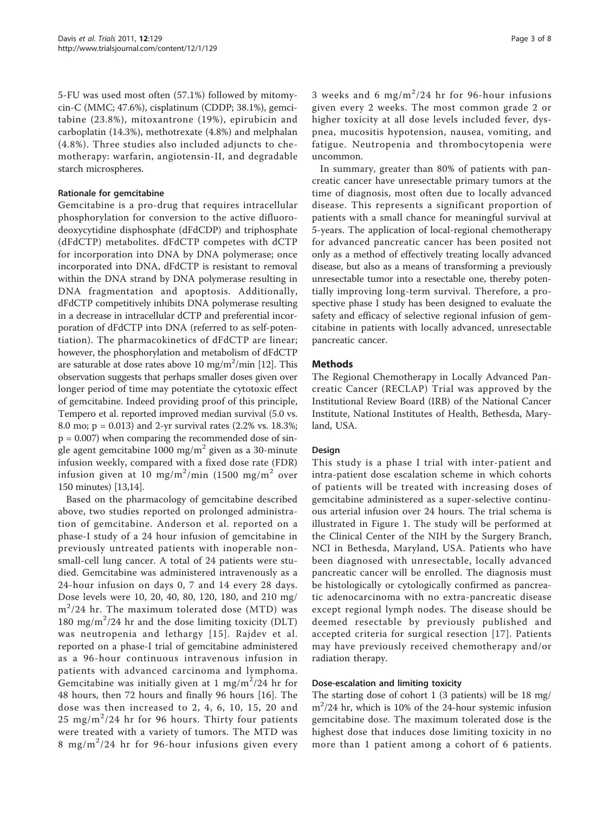5-FU was used most often (57.1%) followed by mitomycin-C (MMC; 47.6%), cisplatinum (CDDP; 38.1%), gemcitabine (23.8%), mitoxantrone (19%), epirubicin and carboplatin (14.3%), methotrexate (4.8%) and melphalan (4.8%). Three studies also included adjuncts to chemotherapy: warfarin, angiotensin-II, and degradable starch microspheres.

## Rationale for gemcitabine

Gemcitabine is a pro-drug that requires intracellular phosphorylation for conversion to the active difluorodeoxycytidine disphosphate (dFdCDP) and triphosphate (dFdCTP) metabolites. dFdCTP competes with dCTP for incorporation into DNA by DNA polymerase; once incorporated into DNA, dFdCTP is resistant to removal within the DNA strand by DNA polymerase resulting in DNA fragmentation and apoptosis. Additionally, dFdCTP competitively inhibits DNA polymerase resulting in a decrease in intracellular dCTP and preferential incorporation of dFdCTP into DNA (referred to as self-potentiation). The pharmacokinetics of dFdCTP are linear; however, the phosphorylation and metabolism of dFdCTP are saturable at dose rates above 10 mg/m $^2$ /min [\[12\]](#page-7-0). This observation suggests that perhaps smaller doses given over longer period of time may potentiate the cytotoxic effect of gemcitabine. Indeed providing proof of this principle, Tempero et al. reported improved median survival (5.0 vs. 8.0 mo; p = 0.013) and 2-yr survival rates (2.2% vs. 18.3%;  $p = 0.007$ ) when comparing the recommended dose of single agent gemcitabine 1000 mg/m<sup>2</sup> given as a 30-minute infusion weekly, compared with a fixed dose rate (FDR) infusion given at 10 mg/m $^2$ /min (1500 mg/m $^2$  over 150 minutes) [[13,14\]](#page-7-0).

Based on the pharmacology of gemcitabine described above, two studies reported on prolonged administration of gemcitabine. Anderson et al. reported on a phase-I study of a 24 hour infusion of gemcitabine in previously untreated patients with inoperable nonsmall-cell lung cancer. A total of 24 patients were studied. Gemcitabine was administered intravenously as a 24-hour infusion on days 0, 7 and 14 every 28 days. Dose levels were 10, 20, 40, 80, 120, 180, and 210 mg/ m<sup>2</sup>/24 hr. The maximum tolerated dose (MTD) was 180 mg/m<sup>2</sup>/24 hr and the dose limiting toxicity (DLT) was neutropenia and lethargy [[15\]](#page-7-0). Rajdev et al. reported on a phase-I trial of gemcitabine administered as a 96-hour continuous intravenous infusion in patients with advanced carcinoma and lymphoma. Gemcitabine was initially given at 1 mg/m $^2$ /24 hr for 48 hours, then 72 hours and finally 96 hours [[16](#page-7-0)]. The dose was then increased to 2, 4, 6, 10, 15, 20 and  $25 \, \text{mg/m}^2/24$  hr for 96 hours. Thirty four patients were treated with a variety of tumors. The MTD was  $8 \text{ mg/m}^2$ /24 hr for 96-hour infusions given every

Page 3 of 8

3 weeks and 6 mg/m $^2$ /24 hr for 96-hour infusions given every 2 weeks. The most common grade 2 or higher toxicity at all dose levels included fever, dyspnea, mucositis hypotension, nausea, vomiting, and fatigue. Neutropenia and thrombocytopenia were uncommon.

In summary, greater than 80% of patients with pancreatic cancer have unresectable primary tumors at the time of diagnosis, most often due to locally advanced disease. This represents a significant proportion of patients with a small chance for meaningful survival at 5-years. The application of local-regional chemotherapy for advanced pancreatic cancer has been posited not only as a method of effectively treating locally advanced disease, but also as a means of transforming a previously unresectable tumor into a resectable one, thereby potentially improving long-term survival. Therefore, a prospective phase I study has been designed to evaluate the safety and efficacy of selective regional infusion of gemcitabine in patients with locally advanced, unresectable pancreatic cancer.

## Methods

The Regional Chemotherapy in Locally Advanced Pancreatic Cancer (RECLAP) Trial was approved by the Institutional Review Board (IRB) of the National Cancer Institute, National Institutes of Health, Bethesda, Maryland, USA.

## Design

This study is a phase I trial with inter-patient and intra-patient dose escalation scheme in which cohorts of patients will be treated with increasing doses of gemcitabine administered as a super-selective continuous arterial infusion over 24 hours. The trial schema is illustrated in Figure [1](#page-3-0). The study will be performed at the Clinical Center of the NIH by the Surgery Branch, NCI in Bethesda, Maryland, USA. Patients who have been diagnosed with unresectable, locally advanced pancreatic cancer will be enrolled. The diagnosis must be histologically or cytologically confirmed as pancreatic adenocarcinoma with no extra-pancreatic disease except regional lymph nodes. The disease should be deemed resectable by previously published and accepted criteria for surgical resection [[17](#page-7-0)]. Patients may have previously received chemotherapy and/or radiation therapy.

## Dose-escalation and limiting toxicity

The starting dose of cohort 1 (3 patients) will be 18 mg/ m2 /24 hr, which is 10% of the 24-hour systemic infusion gemcitabine dose. The maximum tolerated dose is the highest dose that induces dose limiting toxicity in no more than 1 patient among a cohort of 6 patients.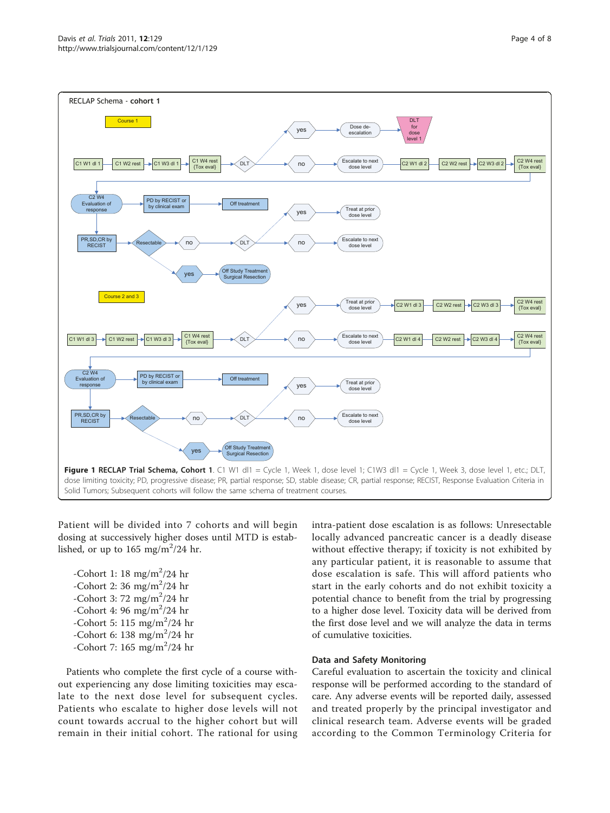<span id="page-3-0"></span>

Patient will be divided into 7 cohorts and will begin dosing at successively higher doses until MTD is established, or up to  $165 \text{ mg/m}^2/24 \text{ hr}$ .

-Cohort 1: 18 mg/m<sup>2</sup>/24 hr -Cohort 2: 36 mg/m<sup>2</sup>/24 hr -Cohort 3: 72 mg/m<sup>2</sup>/24 hr -Cohort 4: 96 mg/m<sup>2</sup>/24 hr -Cohort 5: 115 mg/m<sup>2</sup>/24 hr -Cohort 6: 138 mg/m<sup>2</sup>/24 hr -Cohort 7: 165 mg/m<sup>2</sup>/24 hr

Patients who complete the first cycle of a course without experiencing any dose limiting toxicities may escalate to the next dose level for subsequent cycles. Patients who escalate to higher dose levels will not count towards accrual to the higher cohort but will remain in their initial cohort. The rational for using

intra-patient dose escalation is as follows: Unresectable locally advanced pancreatic cancer is a deadly disease without effective therapy; if toxicity is not exhibited by any particular patient, it is reasonable to assume that dose escalation is safe. This will afford patients who start in the early cohorts and do not exhibit toxicity a potential chance to benefit from the trial by progressing to a higher dose level. Toxicity data will be derived from the first dose level and we will analyze the data in terms of cumulative toxicities.

## Data and Safety Monitoring

Careful evaluation to ascertain the toxicity and clinical response will be performed according to the standard of care. Any adverse events will be reported daily, assessed and treated properly by the principal investigator and clinical research team. Adverse events will be graded according to the Common Terminology Criteria for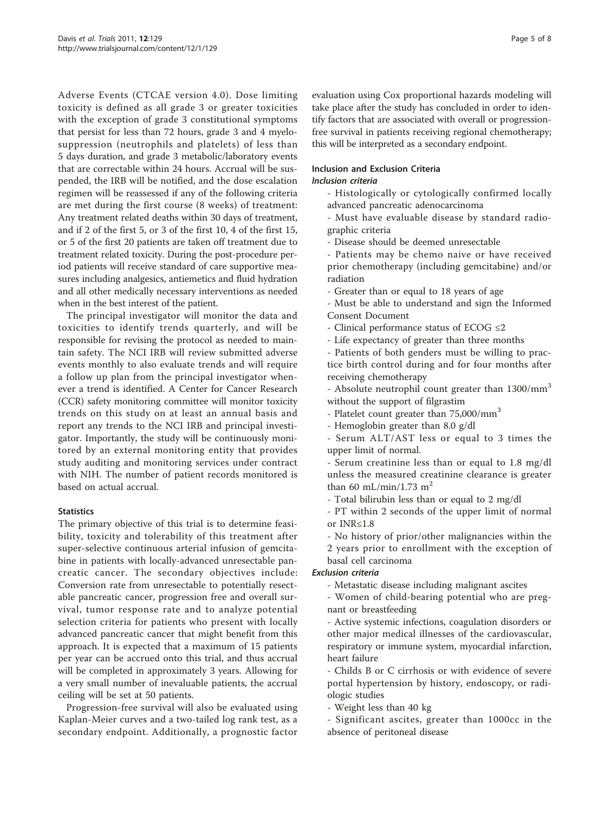Adverse Events (CTCAE version 4.0). Dose limiting toxicity is defined as all grade 3 or greater toxicities with the exception of grade 3 constitutional symptoms that persist for less than 72 hours, grade 3 and 4 myelosuppression (neutrophils and platelets) of less than 5 days duration, and grade 3 metabolic/laboratory events that are correctable within 24 hours. Accrual will be suspended, the IRB will be notified, and the dose escalation regimen will be reassessed if any of the following criteria are met during the first course (8 weeks) of treatment: Any treatment related deaths within 30 days of treatment, and if 2 of the first 5, or 3 of the first 10, 4 of the first 15, or 5 of the first 20 patients are taken off treatment due to treatment related toxicity. During the post-procedure period patients will receive standard of care supportive measures including analgesics, antiemetics and fluid hydration and all other medically necessary interventions as needed when in the best interest of the patient.

The principal investigator will monitor the data and toxicities to identify trends quarterly, and will be responsible for revising the protocol as needed to maintain safety. The NCI IRB will review submitted adverse events monthly to also evaluate trends and will require a follow up plan from the principal investigator whenever a trend is identified. A Center for Cancer Research (CCR) safety monitoring committee will monitor toxicity trends on this study on at least an annual basis and report any trends to the NCI IRB and principal investigator. Importantly, the study will be continuously monitored by an external monitoring entity that provides study auditing and monitoring services under contract with NIH. The number of patient records monitored is based on actual accrual.

## **Statistics**

The primary objective of this trial is to determine feasibility, toxicity and tolerability of this treatment after super-selective continuous arterial infusion of gemcitabine in patients with locally-advanced unresectable pancreatic cancer. The secondary objectives include: Conversion rate from unresectable to potentially resectable pancreatic cancer, progression free and overall survival, tumor response rate and to analyze potential selection criteria for patients who present with locally advanced pancreatic cancer that might benefit from this approach. It is expected that a maximum of 15 patients per year can be accrued onto this trial, and thus accrual will be completed in approximately 3 years. Allowing for a very small number of inevaluable patients, the accrual ceiling will be set at 50 patients.

Progression-free survival will also be evaluated using Kaplan-Meier curves and a two-tailed log rank test, as a secondary endpoint. Additionally, a prognostic factor evaluation using Cox proportional hazards modeling will take place after the study has concluded in order to identify factors that are associated with overall or progressionfree survival in patients receiving regional chemotherapy; this will be interpreted as a secondary endpoint.

## Inclusion and Exclusion Criteria

## Inclusion criteria

- Histologically or cytologically confirmed locally advanced pancreatic adenocarcinoma

- Must have evaluable disease by standard radiographic criteria

- Disease should be deemed unresectable

- Patients may be chemo naive or have received prior chemotherapy (including gemcitabine) and/or radiation

- Greater than or equal to 18 years of age

- Must be able to understand and sign the Informed Consent Document

- Clinical performance status of ECOG ≤2

- Life expectancy of greater than three months

- Patients of both genders must be willing to practice birth control during and for four months after receiving chemotherapy

- Absolute neutrophil count greater than  $1300/mm<sup>3</sup>$ without the support of filgrastim

- Platelet count greater than 75,000/mm<sup>3</sup>

- Hemoglobin greater than 8.0 g/dl

- Serum ALT/AST less or equal to 3 times the upper limit of normal.

- Serum creatinine less than or equal to 1.8 mg/dl unless the measured creatinine clearance is greater than 60 mL/min/1.73 m<sup>2</sup>

- Total bilirubin less than or equal to 2 mg/dl

- PT within 2 seconds of the upper limit of normal or INR≤1.8

- No history of prior/other malignancies within the 2 years prior to enrollment with the exception of

## basal cell carcinoma

## Exclusion criteria

- Metastatic disease including malignant ascites

- Women of child-bearing potential who are pregnant or breastfeeding

- Active systemic infections, coagulation disorders or other major medical illnesses of the cardiovascular, respiratory or immune system, myocardial infarction, heart failure

- Childs B or C cirrhosis or with evidence of severe portal hypertension by history, endoscopy, or radiologic studies

- Weight less than 40 kg

- Significant ascites, greater than 1000cc in the absence of peritoneal disease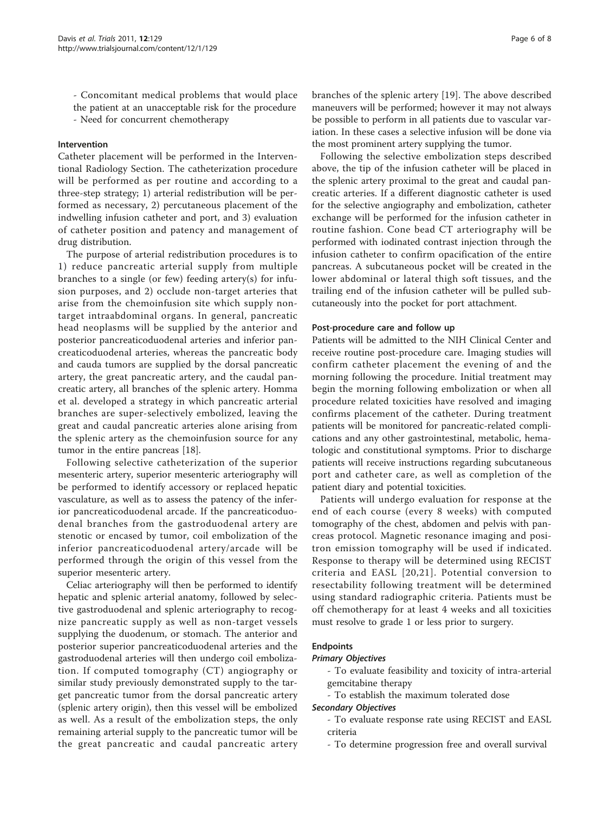- Concomitant medical problems that would place the patient at an unacceptable risk for the procedure

- Need for concurrent chemotherapy

## Intervention

Catheter placement will be performed in the Interventional Radiology Section. The catheterization procedure will be performed as per routine and according to a three-step strategy; 1) arterial redistribution will be performed as necessary, 2) percutaneous placement of the indwelling infusion catheter and port, and 3) evaluation of catheter position and patency and management of drug distribution.

The purpose of arterial redistribution procedures is to 1) reduce pancreatic arterial supply from multiple branches to a single (or few) feeding artery(s) for infusion purposes, and 2) occlude non-target arteries that arise from the chemoinfusion site which supply nontarget intraabdominal organs. In general, pancreatic head neoplasms will be supplied by the anterior and posterior pancreaticoduodenal arteries and inferior pancreaticoduodenal arteries, whereas the pancreatic body and cauda tumors are supplied by the dorsal pancreatic artery, the great pancreatic artery, and the caudal pancreatic artery, all branches of the splenic artery. Homma et al. developed a strategy in which pancreatic arterial branches are super-selectively embolized, leaving the great and caudal pancreatic arteries alone arising from the splenic artery as the chemoinfusion source for any tumor in the entire pancreas [\[18\]](#page-7-0).

Following selective catheterization of the superior mesenteric artery, superior mesenteric arteriography will be performed to identify accessory or replaced hepatic vasculature, as well as to assess the patency of the inferior pancreaticoduodenal arcade. If the pancreaticoduodenal branches from the gastroduodenal artery are stenotic or encased by tumor, coil embolization of the inferior pancreaticoduodenal artery/arcade will be performed through the origin of this vessel from the superior mesenteric artery.

Celiac arteriography will then be performed to identify hepatic and splenic arterial anatomy, followed by selective gastroduodenal and splenic arteriography to recognize pancreatic supply as well as non-target vessels supplying the duodenum, or stomach. The anterior and posterior superior pancreaticoduodenal arteries and the gastroduodenal arteries will then undergo coil embolization. If computed tomography (CT) angiography or similar study previously demonstrated supply to the target pancreatic tumor from the dorsal pancreatic artery (splenic artery origin), then this vessel will be embolized as well. As a result of the embolization steps, the only remaining arterial supply to the pancreatic tumor will be the great pancreatic and caudal pancreatic artery branches of the splenic artery [\[19](#page-7-0)]. The above described maneuvers will be performed; however it may not always be possible to perform in all patients due to vascular variation. In these cases a selective infusion will be done via the most prominent artery supplying the tumor.

Following the selective embolization steps described above, the tip of the infusion catheter will be placed in the splenic artery proximal to the great and caudal pancreatic arteries. If a different diagnostic catheter is used for the selective angiography and embolization, catheter exchange will be performed for the infusion catheter in routine fashion. Cone bead CT arteriography will be performed with iodinated contrast injection through the infusion catheter to confirm opacification of the entire pancreas. A subcutaneous pocket will be created in the lower abdominal or lateral thigh soft tissues, and the trailing end of the infusion catheter will be pulled subcutaneously into the pocket for port attachment.

#### Post-procedure care and follow up

Patients will be admitted to the NIH Clinical Center and receive routine post-procedure care. Imaging studies will confirm catheter placement the evening of and the morning following the procedure. Initial treatment may begin the morning following embolization or when all procedure related toxicities have resolved and imaging confirms placement of the catheter. During treatment patients will be monitored for pancreatic-related complications and any other gastrointestinal, metabolic, hematologic and constitutional symptoms. Prior to discharge patients will receive instructions regarding subcutaneous port and catheter care, as well as completion of the patient diary and potential toxicities.

Patients will undergo evaluation for response at the end of each course (every 8 weeks) with computed tomography of the chest, abdomen and pelvis with pancreas protocol. Magnetic resonance imaging and positron emission tomography will be used if indicated. Response to therapy will be determined using RECIST criteria and EASL [[20,21](#page-7-0)]. Potential conversion to resectability following treatment will be determined using standard radiographic criteria. Patients must be off chemotherapy for at least 4 weeks and all toxicities must resolve to grade 1 or less prior to surgery.

#### Endpoints

#### Primary Objectives

- To evaluate feasibility and toxicity of intra-arterial gemcitabine therapy
- To establish the maximum tolerated dose

## Secondary Objectives

- To evaluate response rate using RECIST and EASL criteria
- To determine progression free and overall survival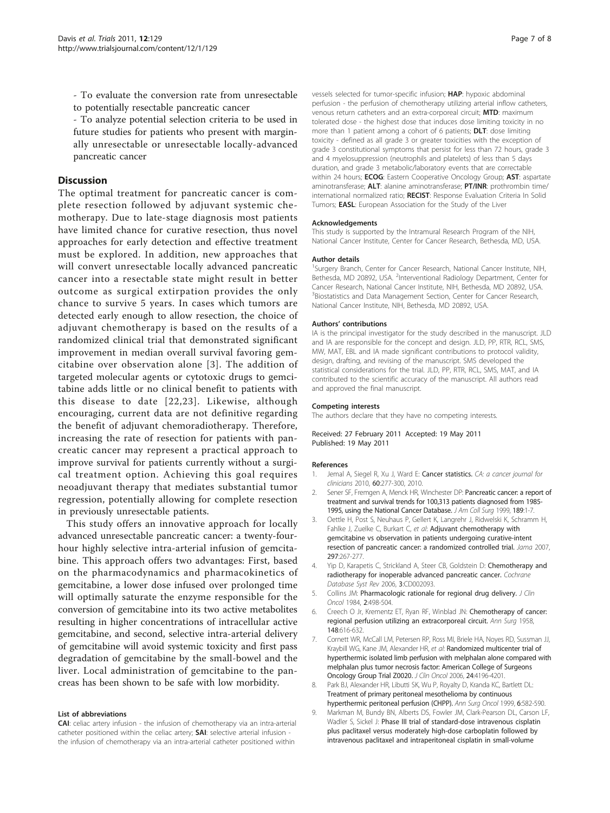<span id="page-6-0"></span>- To evaluate the conversion rate from unresectable to potentially resectable pancreatic cancer

- To analyze potential selection criteria to be used in future studies for patients who present with marginally unresectable or unresectable locally-advanced pancreatic cancer

## **Discussion**

The optimal treatment for pancreatic cancer is complete resection followed by adjuvant systemic chemotherapy. Due to late-stage diagnosis most patients have limited chance for curative resection, thus novel approaches for early detection and effective treatment must be explored. In addition, new approaches that will convert unresectable locally advanced pancreatic cancer into a resectable state might result in better outcome as surgical extirpation provides the only chance to survive 5 years. In cases which tumors are detected early enough to allow resection, the choice of adjuvant chemotherapy is based on the results of a randomized clinical trial that demonstrated significant improvement in median overall survival favoring gemcitabine over observation alone [3]. The addition of targeted molecular agents or cytotoxic drugs to gemcitabine adds little or no clinical benefit to patients with this disease to date [[22,23](#page-7-0)]. Likewise, although encouraging, current data are not definitive regarding the benefit of adjuvant chemoradiotherapy. Therefore, increasing the rate of resection for patients with pancreatic cancer may represent a practical approach to improve survival for patients currently without a surgical treatment option. Achieving this goal requires neoadjuvant therapy that mediates substantial tumor regression, potentially allowing for complete resection in previously unresectable patients.

This study offers an innovative approach for locally advanced unresectable pancreatic cancer: a twenty-fourhour highly selective intra-arterial infusion of gemcitabine. This approach offers two advantages: First, based on the pharmacodynamics and pharmacokinetics of gemcitabine, a lower dose infused over prolonged time will optimally saturate the enzyme responsible for the conversion of gemcitabine into its two active metabolites resulting in higher concentrations of intracellular active gemcitabine, and second, selective intra-arterial delivery of gemcitabine will avoid systemic toxicity and first pass degradation of gemcitabine by the small-bowel and the liver. Local administration of gemcitabine to the pancreas has been shown to be safe with low morbidity.

#### List of abbreviations

CAI: celiac artery infusion - the infusion of chemotherapy via an intra-arterial catheter positioned within the celiac artery; SAI: selective arterial infusion the infusion of chemotherapy via an intra-arterial catheter positioned within

vessels selected for tumor-specific infusion; HAP: hypoxic abdominal perfusion - the perfusion of chemotherapy utilizing arterial inflow catheters, venous return catheters and an extra-corporeal circuit; MTD: maximum tolerated dose - the highest dose that induces dose limiting toxicity in no more than 1 patient among a cohort of 6 patients; DLT: dose limiting toxicity - defined as all grade 3 or greater toxicities with the exception of grade 3 constitutional symptoms that persist for less than 72 hours, grade 3 and 4 myelosuppression (neutrophils and platelets) of less than 5 days duration, and grade 3 metabolic/laboratory events that are correctable within 24 hours; **ECOG**: Eastern Cooperative Oncology Group; **AST**: aspartate aminotransferase; ALT: alanine aminotransferase; PT/INR: prothrombin time/ international normalized ratio; RECIST: Response Evaluation Criteria In Solid Tumors; **EASL**: European Association for the Study of the Liver

#### Acknowledgements

This study is supported by the Intramural Research Program of the NIH, National Cancer Institute, Center for Cancer Research, Bethesda, MD, USA.

#### Author details

<sup>1</sup>Surgery Branch, Center for Cancer Research, National Cancer Institute, NIH Bethesda, MD 20892, USA. <sup>2</sup>Interventional Radiology Department, Center for Cancer Research, National Cancer Institute, NIH, Bethesda, MD 20892, USA. <sup>3</sup> Biostatistics and Data Management Section, Center for Cancer Research National Cancer Institute, NIH, Bethesda, MD 20892, USA.

#### Authors' contributions

IA is the principal investigator for the study described in the manuscript. JLD and IA are responsible for the concept and design. JLD, PP, RTR, RCL, SMS, MW, MAT, EBL and IA made significant contributions to protocol validity, design, drafting, and revising of the manuscript. SMS developed the statistical considerations for the trial. JLD, PP, RTR, RCL, SMS, MAT, and IA contributed to the scientific accuracy of the manuscript. All authors read and approved the final manuscript.

#### Competing interests

The authors declare that they have no competing interests.

Received: 27 February 2011 Accepted: 19 May 2011 Published: 19 May 2011

#### References

- 1. Jemal A, Siegel R, Xu J, Ward E: Cancer statistics. CA: a cancer journal for clinicians 2010, 60:277-300, 2010.
- 2. Sener SF, Fremgen A, Menck HR, Winchester DP: [Pancreatic cancer: a report of](http://www.ncbi.nlm.nih.gov/pubmed/10401733?dopt=Abstract) [treatment and survival trends for 100,313 patients diagnosed from 1985-](http://www.ncbi.nlm.nih.gov/pubmed/10401733?dopt=Abstract) [1995, using the National Cancer Database.](http://www.ncbi.nlm.nih.gov/pubmed/10401733?dopt=Abstract) J Am Coll Surg 1999, 189:1-7.
- 3. Oettle H, Post S, Neuhaus P, Gellert K, Langrehr J, Ridwelski K, Schramm H, Fahlke J, Zuelke C, Burkart C, et al: [Adjuvant chemotherapy with](http://www.ncbi.nlm.nih.gov/pubmed/17227978?dopt=Abstract) [gemcitabine vs observation in patients undergoing curative-intent](http://www.ncbi.nlm.nih.gov/pubmed/17227978?dopt=Abstract) [resection of pancreatic cancer: a randomized controlled trial.](http://www.ncbi.nlm.nih.gov/pubmed/17227978?dopt=Abstract) Jama 2007, 297:267-277.
- 4. Yip D, Karapetis C, Strickland A, Steer CB, Goldstein D: [Chemotherapy and](http://www.ncbi.nlm.nih.gov/pubmed/16855985?dopt=Abstract) [radiotherapy for inoperable advanced pancreatic cancer.](http://www.ncbi.nlm.nih.gov/pubmed/16855985?dopt=Abstract) Cochrane Database Syst Rev 2006, 3:CD002093.
- Collins JM: [Pharmacologic rationale for regional drug delivery.](http://www.ncbi.nlm.nih.gov/pubmed/6547166?dopt=Abstract) J Clin Oncol 1984, 2:498-504.
- Creech O Jr, Krementz ET, Ryan RF, Winblad JN: [Chemotherapy of cancer:](http://www.ncbi.nlm.nih.gov/pubmed/13583933?dopt=Abstract) [regional perfusion utilizing an extracorporeal circuit.](http://www.ncbi.nlm.nih.gov/pubmed/13583933?dopt=Abstract) Ann Surg 1958, 148:616-632.
- 7. Cornett WR, McCall LM, Petersen RP, Ross MI, Briele HA, Noyes RD, Sussman JJ, Kraybill WG, Kane JM, Alexander HR, et al: [Randomized multicenter trial of](http://www.ncbi.nlm.nih.gov/pubmed/16943537?dopt=Abstract) [hyperthermic isolated limb perfusion with melphalan alone compared with](http://www.ncbi.nlm.nih.gov/pubmed/16943537?dopt=Abstract) [melphalan plus tumor necrosis factor: American College of Surgeons](http://www.ncbi.nlm.nih.gov/pubmed/16943537?dopt=Abstract) [Oncology Group Trial Z0020.](http://www.ncbi.nlm.nih.gov/pubmed/16943537?dopt=Abstract) J Clin Oncol 2006, 24:4196-4201.
- 8. Park BJ, Alexander HR, Libutti SK, Wu P, Royalty D, Kranda KC, Bartlett DL: [Treatment of primary peritoneal mesothelioma by continuous](http://www.ncbi.nlm.nih.gov/pubmed/10493628?dopt=Abstract) [hyperthermic peritoneal perfusion \(CHPP\).](http://www.ncbi.nlm.nih.gov/pubmed/10493628?dopt=Abstract) Ann Surg Oncol 1999, 6:582-590.
- 9. Markman M, Bundy BN, Alberts DS, Fowler JM, Clark-Pearson DL, Carson LF, Wadler S, Sickel J: [Phase III trial of standard-dose intravenous cisplatin](http://www.ncbi.nlm.nih.gov/pubmed/11181662?dopt=Abstract) [plus paclitaxel versus moderately high-dose carboplatin followed by](http://www.ncbi.nlm.nih.gov/pubmed/11181662?dopt=Abstract) [intravenous paclitaxel and intraperitoneal cisplatin in small-volume](http://www.ncbi.nlm.nih.gov/pubmed/11181662?dopt=Abstract)